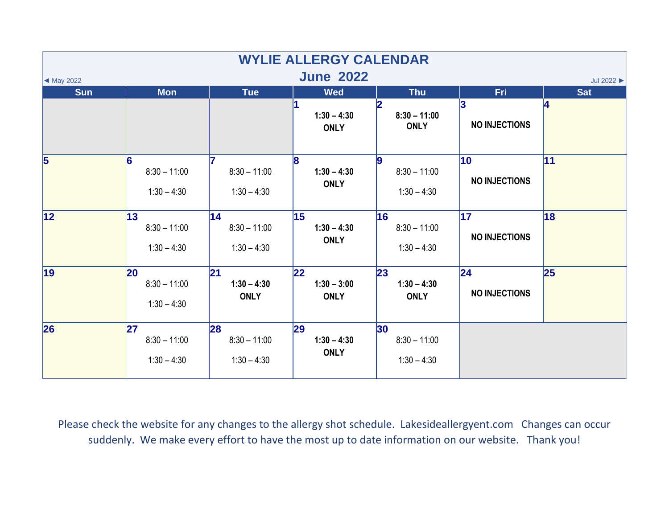| <b>WYLIE ALLERGY CALENDAR</b><br><b>June 2022</b> |                                              |                                               |                                            |                                                    |                                         |                 |  |  |  |  |  |
|---------------------------------------------------|----------------------------------------------|-----------------------------------------------|--------------------------------------------|----------------------------------------------------|-----------------------------------------|-----------------|--|--|--|--|--|
| Jul 2022 ><br>$\blacktriangleleft$ May 2022       |                                              |                                               |                                            |                                                    |                                         |                 |  |  |  |  |  |
| <b>Sun</b>                                        | <b>Mon</b>                                   | <b>Tue</b>                                    | <b>Wed</b><br>$1:30 - 4:30$<br><b>ONLY</b> | <b>Thu</b><br>$8:30 - 11:00$<br><b>ONLY</b>        | <b>Fri</b><br>3<br><b>NO INJECTIONS</b> | <b>Sat</b><br>4 |  |  |  |  |  |
| $\overline{5}$                                    | 16<br>$8:30 - 11:00$<br>$1:30 - 4:30$        | $8:30 - 11:00$<br>$1:30 - 4:30$               | 8 <br>$1:30 - 4:30$<br><b>ONLY</b>         | g<br>$8:30 - 11:00$<br>$1:30 - 4:30$               | 10<br><b>NO INJECTIONS</b>              | 11              |  |  |  |  |  |
| 12                                                | 13<br>$8:30 - 11:00$<br>$1:30 - 4:30$        | 14 <br>$8:30 - 11:00$<br>$1:30 - 4:30$        | 15<br>$1:30 - 4:30$<br><b>ONLY</b>         | 16<br>$8:30 - 11:00$<br>$1:30 - 4:30$              | $\overline{17}$<br><b>NO INJECTIONS</b> | 18              |  |  |  |  |  |
| $\vert$ 19                                        | <b>20</b><br>$8:30 - 11:00$<br>$1:30 - 4:30$ | $\mathbf{21}$<br>$1:30 - 4:30$<br><b>ONLY</b> | 22<br>$1:30 - 3:00$<br><b>ONLY</b>         | 23<br>$1:30 - 4:30$<br><b>ONLY</b>                 | 24 <br><b>NO INJECTIONS</b>             | 25              |  |  |  |  |  |
| 26                                                | 27<br>$8:30 - 11:00$<br>$1:30 - 4:30$        | 28<br>$8:30 - 11:00$<br>$1:30 - 4:30$         | 29<br>$1:30 - 4:30$<br><b>ONLY</b>         | 30 <sub>o</sub><br>$8:30 - 11:00$<br>$1:30 - 4:30$ |                                         |                 |  |  |  |  |  |

Please check the website for any changes to the allergy shot schedule. Lakesideallergyent.com Changes can occur suddenly. We make every effort to have the most up to date information on our website. Thank you!